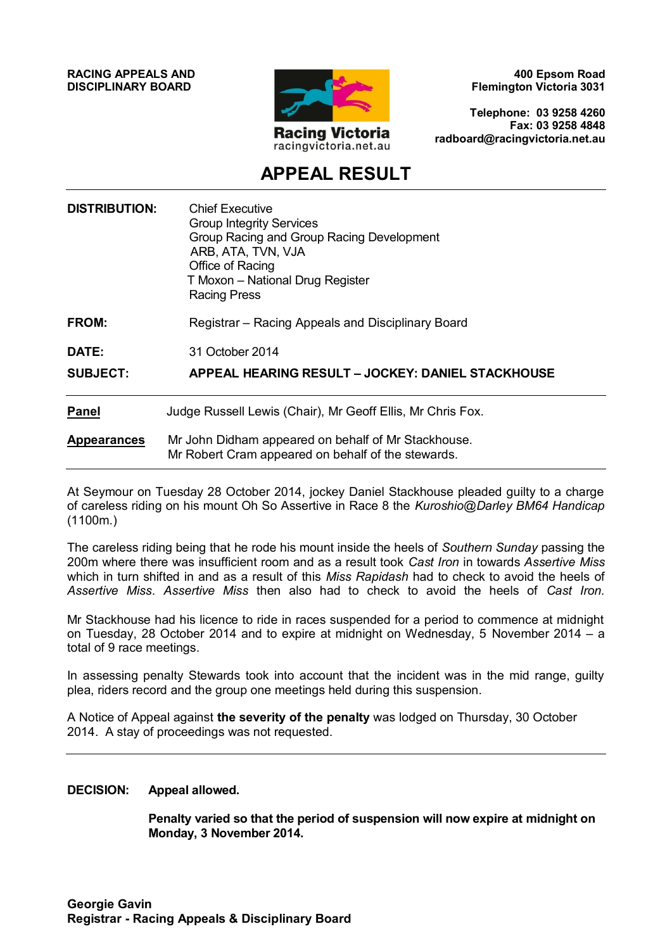**RACING APPEALS AND DISCIPLINARY BOARD**



**400 Epsom Road Flemington Victoria 3031**

**Telephone: 03 9258 4260 Fax: 03 9258 4848 radboard@racingvictoria.net.au**

## **APPEAL RESULT**

| <b>DISTRIBUTION:</b> | <b>Chief Executive</b><br><b>Group Integrity Services</b><br>Group Racing and Group Racing Development<br>ARB, ATA, TVN, VJA<br>Office of Racing<br>T Moxon - National Drug Register<br><b>Racing Press</b> |
|----------------------|-------------------------------------------------------------------------------------------------------------------------------------------------------------------------------------------------------------|
| <b>FROM:</b>         | Registrar – Racing Appeals and Disciplinary Board                                                                                                                                                           |
| DATE:                | 31 October 2014                                                                                                                                                                                             |
| <b>SUBJECT:</b>      | <b>APPEAL HEARING RESULT - JOCKEY: DANIEL STACKHOUSE</b>                                                                                                                                                    |
| <b>Panel</b>         | Judge Russell Lewis (Chair), Mr Geoff Ellis, Mr Chris Fox.                                                                                                                                                  |
| <b>Appearances</b>   | Mr John Didham appeared on behalf of Mr Stackhouse.<br>Mr Robert Cram appeared on behalf of the stewards.                                                                                                   |

At Seymour on Tuesday 28 October 2014, jockey Daniel Stackhouse pleaded guilty to a charge of careless riding on his mount Oh So Assertive in Race 8 the *Kuroshio@Darley BM64 Handicap*  (1100m.)

The careless riding being that he rode his mount inside the heels of *Southern Sunday* passing the 200m where there was insufficient room and as a result took *Cast Iron* in towards *Assertive Miss* which in turn shifted in and as a result of this *Miss Rapidash* had to check to avoid the heels of *Assertive Miss*. *Assertive Miss* then also had to check to avoid the heels of *Cast Iron.*

Mr Stackhouse had his licence to ride in races suspended for a period to commence at midnight on Tuesday, 28 October 2014 and to expire at midnight on Wednesday, 5 November 2014 – a total of 9 race meetings.

In assessing penalty Stewards took into account that the incident was in the mid range, guilty plea, riders record and the group one meetings held during this suspension.

A Notice of Appeal against **the severity of the penalty** was lodged on Thursday, 30 October 2014. A stay of proceedings was not requested.

#### **DECISION: Appeal allowed.**

**Penalty varied so that the period of suspension will now expire at midnight on Monday, 3 November 2014.**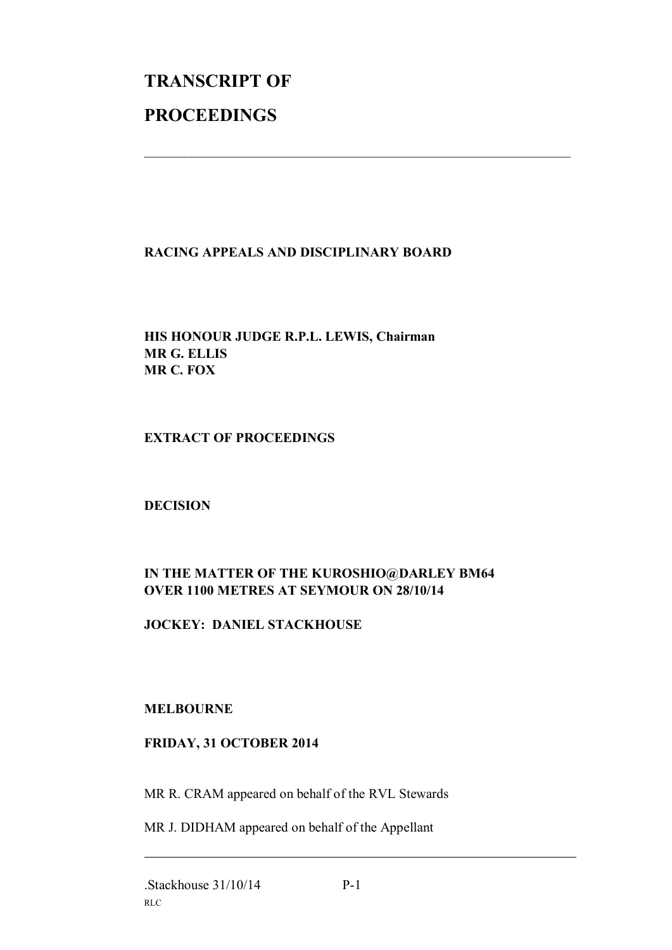# **TRANSCRIPT OF PROCEEDINGS**

#### **RACING APPEALS AND DISCIPLINARY BOARD**

 $\mathcal{L}_\text{max}$  , and the contribution of the contribution of the contribution of the contribution of the contribution of the contribution of the contribution of the contribution of the contribution of the contribution of t

#### **HIS HONOUR JUDGE R.P.L. LEWIS, Chairman MR G. ELLIS MR C. FOX**

#### **EXTRACT OF PROCEEDINGS**

#### **DECISION**

### **IN THE MATTER OF THE KUROSHIO@DARLEY BM64 OVER 1100 METRES AT SEYMOUR ON 28/10/14**

#### **JOCKEY: DANIEL STACKHOUSE**

#### **MELBOURNE**

#### **FRIDAY, 31 OCTOBER 2014**

MR R. CRAM appeared on behalf of the RVL Stewards

MR J. DIDHAM appeared on behalf of the Appellant